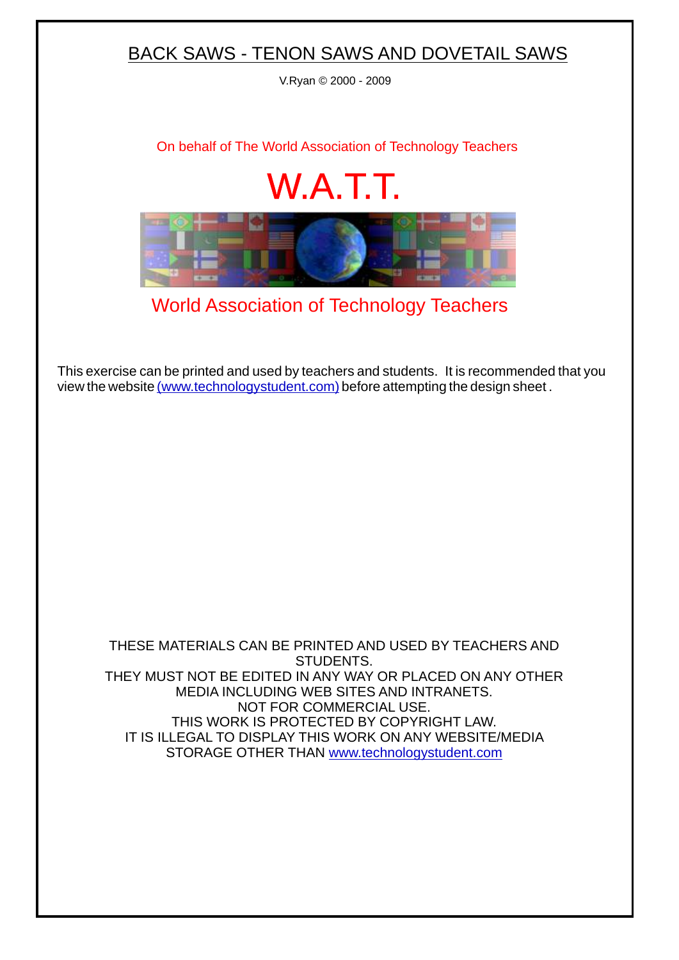## BACK SAWS - TENON SAWS AND DOVETAIL SAWS

V.Ryan © 2000 - 2009

[On behalf of The World Association of Technology Teachers](http://www.technologystudent.com)

## W.A.T.T.



[World Association of Technology Teachers](http://www.technologystudent.com)

[This exercise can be printed and used by teachers and students. It is recommended that you](http://www.technologystudent.com/designpro/drawdex.htm) view the website [\(www.technologystudent.com\)](http://www.technologystudent.com) before attempting the design sheet .

THESE MATERIALS CAN BE PRINTED AND USED BY TEACHERS AND STUDENTS. THEY MUST NOT BE EDITED IN ANY WAY OR PLACED ON ANY OTHER MEDIA INCLUDING WEB SITES AND INTRANETS. NOT FOR COMMERCIAL USE. THIS WORK IS PROTECTED BY COPYRIGHT LAW. IT IS ILLEGAL TO DISPLAY THIS WORK ON ANY WEBSITE/MEDIA STORAGE OTHER THAN [www.technologystudent.com](http://www.technologystudent.com)